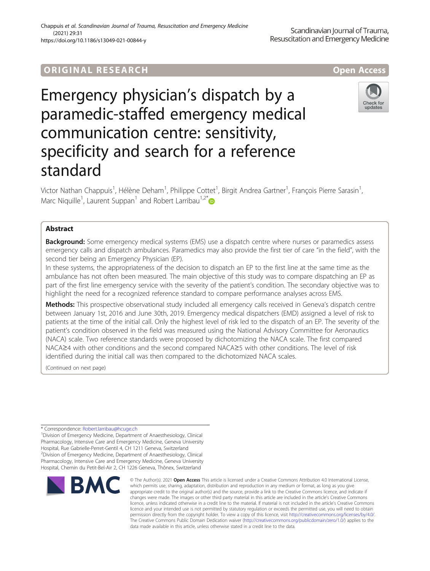# **ORIGINAL RESEARCH And Access** open Access

Emergency physician's dispatch by a paramedic-staffed emergency medical communication centre: sensitivity, specificity and search for a reference standard

Victor Nathan Chappuis<sup>1</sup>, Hélène Deham<sup>1</sup>, Philippe Cottet<sup>1</sup>, Birgit Andrea Gartner<sup>1</sup>, François Pierre Sarasin<sup>1</sup> , Marc Niquille<sup>1</sup>, Laurent Suppan<sup>1</sup> and Robert Larribau<sup>1,2\*</sup>

# Abstract

**Background:** Some emergency medical systems (EMS) use a dispatch centre where nurses or paramedics assess emergency calls and dispatch ambulances. Paramedics may also provide the first tier of care "in the field", with the second tier being an Emergency Physician (EP).

In these systems, the appropriateness of the decision to dispatch an EP to the first line at the same time as the ambulance has not often been measured. The main objective of this study was to compare dispatching an EP as part of the first line emergency service with the severity of the patient's condition. The secondary objective was to highlight the need for a recognized reference standard to compare performance analyses across EMS.

Methods: This prospective observational study included all emergency calls received in Geneva's dispatch centre between January 1st, 2016 and June 30th, 2019. Emergency medical dispatchers (EMD) assigned a level of risk to patients at the time of the initial call. Only the highest level of risk led to the dispatch of an EP. The severity of the patient's condition observed in the field was measured using the National Advisory Committee for Aeronautics (NACA) scale. Two reference standards were proposed by dichotomizing the NACA scale. The first compared NACA≥4 with other conditions and the second compared NACA≥5 with other conditions. The level of risk identified during the initial call was then compared to the dichotomized NACA scales.

(Continued on next page)

\* Correspondence: [Robert.larribau@hcuge.ch](mailto:Robert.larribau@hcuge.ch) <sup>1</sup>

<sup>1</sup> Division of Emergency Medicine, Department of Anaesthesiology, Clinical Pharmacology, Intensive Care and Emergency Medicine, Geneva University Hospital, Rue Gabrielle-Perret-Gentil 4, CH 1211 Geneva, Switzerland <sup>2</sup> Division of Emergency Medicine, Department of Anaesthesiology, Clinical Pharmacology, Intensive Care and Emergency Medicine, Geneva University Hospital, Chemin du Petit-Bel-Air 2, CH 1226 Geneva, Thônex, Switzerland





**BM** 

© The Author(s), 2021 **Open Access** This article is licensed under a Creative Commons Attribution 4.0 International License, which permits use, sharing, adaptation, distribution and reproduction in any medium or format, as long as you give appropriate credit to the original author(s) and the source, provide a link to the Creative Commons licence, and indicate if changes were made. The images or other third party material in this article are included in the article's Creative Commons licence, unless indicated otherwise in a credit line to the material. If material is not included in the article's Creative Commons licence and your intended use is not permitted by statutory regulation or exceeds the permitted use, you will need to obtain permission directly from the copyright holder. To view a copy of this licence, visit [http://creativecommons.org/licenses/by/4.0/.](http://creativecommons.org/licenses/by/4.0/) The Creative Commons Public Domain Dedication waiver [\(http://creativecommons.org/publicdomain/zero/1.0/](http://creativecommons.org/publicdomain/zero/1.0/)) applies to the data made available in this article, unless otherwise stated in a credit line to the data.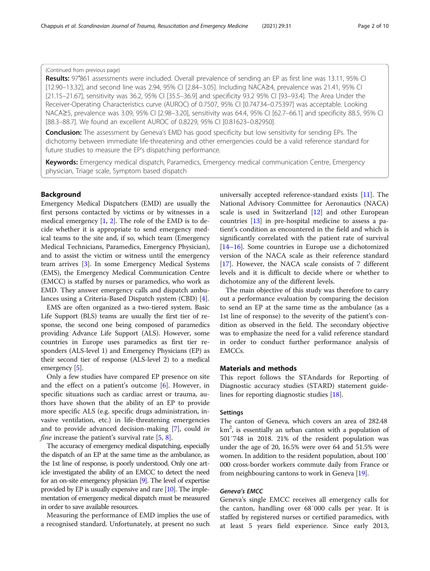# (Continued from previous page)

Results: 97'861 assessments were included. Overall prevalence of sending an EP as first line was 13.11, 95% CI [12.90–13.32], and second line was 2.94, 95% CI [2.84–3.05]. Including NACA≥4, prevalence was 21.41, 95% CI [21.15–21.67], sensitivity was 36.2, 95% CI [35.5–36.9] and specificity 93.2 95% CI [93–93.4]. The Area Under the Receiver-Operating Characteristics curve (AUROC) of 0.7507, 95% CI [0.74734–0.75397] was acceptable. Looking NACA≥5, prevalence was 3.09, 95% CI [2.98–3.20], sensitivity was 64.4, 95% CI [62.7–66.1] and specificity 88.5, 95% CI [88.3–88.7]. We found an excellent AUROC of 0.8229, 95% CI [0.81623–0.82950].

**Conclusion:** The assessment by Geneva's EMD has good specificity but low sensitivity for sending EPs. The dichotomy between immediate life-threatening and other emergencies could be a valid reference standard for future studies to measure the EP's dispatching performance.

Keywords: Emergency medical dispatch, Paramedics, Emergency medical communication Centre, Emergency physician, Triage scale, Symptom based dispatch

# Background

Emergency Medical Dispatchers (EMD) are usually the first persons contacted by victims or by witnesses in a medical emergency  $[1, 2]$  $[1, 2]$  $[1, 2]$  $[1, 2]$  $[1, 2]$ . The role of the EMD is to decide whether it is appropriate to send emergency medical teams to the site and, if so, which team (Emergency Medical Technicians, Paramedics, Emergency Physician), and to assist the victim or witness until the emergency team arrives [\[3](#page-8-0)]. In some Emergency Medical Systems (EMS), the Emergency Medical Communication Centre (EMCC) is staffed by nurses or paramedics, who work as EMD. They answer emergency calls and dispatch ambulances using a Criteria-Based Dispatch system (CBD) [[4](#page-8-0)].

EMS are often organized as a two-tiered system. Basic Life Support (BLS) teams are usually the first tier of response, the second one being composed of paramedics providing Advance Life Support (ALS). However, some countries in Europe uses paramedics as first tier responders (ALS-level 1) and Emergency Physicians (EP) as their second tier of response (ALS-level 2) to a medical emergency [[5](#page-8-0)].

Only a few studies have compared EP presence on site and the effect on a patient's outcome [[6\]](#page-8-0). However, in specific situations such as cardiac arrest or trauma, authors have shown that the ability of an EP to provide more specific ALS (e.g. specific drugs administration, invasive ventilation, etc.) in life-threatening emergencies and to provide advanced decision-making [[7\]](#page-8-0), could in *fine* increase the patient's survival rate  $[5, 8]$  $[5, 8]$  $[5, 8]$  $[5, 8]$ .

The accuracy of emergency medical dispatching, especially the dispatch of an EP at the same time as the ambulance, as the 1st line of response, is poorly understood. Only one article investigated the ability of an EMCC to detect the need for an on-site emergency physician [\[9\]](#page-8-0). The level of expertise provided by EP is usually expensive and rare [\[10](#page-8-0)]. The implementation of emergency medical dispatch must be measured in order to save available resources.

Measuring the performance of EMD implies the use of a recognised standard. Unfortunately, at present no such

universally accepted reference-standard exists [[11\]](#page-8-0). The National Advisory Committee for Aeronautics (NACA) scale is used in Switzerland [\[12\]](#page-8-0) and other European countries [\[13](#page-8-0)] in pre-hospital medicine to assess a patient's condition as encountered in the field and which is significantly correlated with the patient rate of survival [[14](#page-8-0)–[16](#page-8-0)]. Some countries in Europe use a dichotomized version of the NACA scale as their reference standard [[17\]](#page-8-0). However, the NACA scale consists of 7 different levels and it is difficult to decide where or whether to dichotomize any of the different levels.

The main objective of this study was therefore to carry out a performance evaluation by comparing the decision to send an EP at the same time as the ambulance (as a 1st line of response) to the severity of the patient's condition as observed in the field. The secondary objective was to emphasize the need for a valid reference standard in order to conduct further performance analysis of EMCCs.

# Materials and methods

This report follows the STAndards for Reporting of Diagnostic accuracy studies (STARD) statement guidelines for reporting diagnostic studies [\[18](#page-8-0)].

### **Settings**

The canton of Geneva, which covers an area of 282.48 km<sup>2</sup>, is essentially an urban canton with a population of 501′748 in 2018. 21% of the resident population was under the age of 20, 16.5% were over 64 and 51.5% were women. In addition to the resident population, about 100′ 000 cross-border workers commute daily from France or from neighbouring cantons to work in Geneva [\[19\]](#page-8-0).

# Geneva's EMCC

Geneva's single EMCC receives all emergency calls for the canton, handling over 68′000 calls per year. It is staffed by registered nurses or certified paramedics, with at least 5 years field experience. Since early 2013,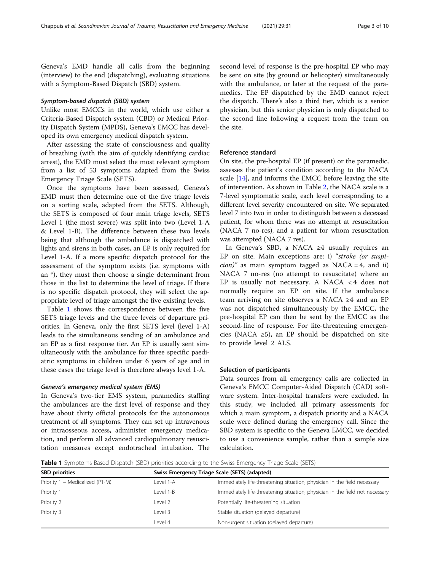Geneva's EMD handle all calls from the beginning (interview) to the end (dispatching), evaluating situations with a Symptom-Based Dispatch (SBD) system.

# Symptom-based dispatch (SBD) system

Unlike most EMCCs in the world, which use either a Criteria-Based Dispatch system (CBD) or Medical Priority Dispatch System (MPDS), Geneva's EMCC has developed its own emergency medical dispatch system.

After assessing the state of consciousness and quality of breathing (with the aim of quickly identifying cardiac arrest), the EMD must select the most relevant symptom from a list of 53 symptoms adapted from the Swiss Emergency Triage Scale (SETS).

Once the symptoms have been assessed, Geneva's EMD must then determine one of the five triage levels on a sorting scale, adapted from the SETS. Although, the SETS is composed of four main triage levels, SETS Level 1 (the most severe) was split into two (Level 1-A & Level 1-B). The difference between these two levels being that although the ambulance is dispatched with lights and sirens in both cases, an EP is only required for Level 1-A. If a more specific dispatch protocol for the assessment of the symptom exists (i.e. symptoms with an \*), they must then choose a single determinant from those in the list to determine the level of triage. If there is no specific dispatch protocol, they will select the appropriate level of triage amongst the five existing levels.

Table 1 shows the correspondence between the five SETS triage levels and the three levels of departure priorities. In Geneva, only the first SETS level (level 1-A) leads to the simultaneous sending of an ambulance and an EP as a first response tier. An EP is usually sent simultaneously with the ambulance for three specific paediatric symptoms in children under 6 years of age and in these cases the triage level is therefore always level 1-A.

### Geneva's emergency medical system (EMS)

In Geneva's two-tier EMS system, paramedics staffing the ambulances are the first level of response and they have about thirty official protocols for the autonomous treatment of all symptoms. They can set up intravenous or intraosseous access, administer emergency medication, and perform all advanced cardiopulmonary resuscitation measures except endotracheal intubation. The second level of response is the pre-hospital EP who may be sent on site (by ground or helicopter) simultaneously with the ambulance, or later at the request of the paramedics. The EP dispatched by the EMD cannot reject the dispatch. There's also a third tier, which is a senior physician, but this senior physician is only dispatched to the second line following a request from the team on the site.

## Reference standard

On site, the pre-hospital EP (if present) or the paramedic, assesses the patient's condition according to the NACA scale [\[14](#page-8-0)], and informs the EMCC before leaving the site of intervention. As shown in Table [2](#page-3-0), the NACA scale is a 7-level symptomatic scale, each level corresponding to a different level severity encountered on site. We separated level 7 into two in order to distinguish between a deceased patient, for whom there was no attempt at resuscitation (NACA 7 no-res), and a patient for whom resuscitation was attempted (NACA 7 res).

In Geneva's SBD, a NACA ≥4 usually requires an EP on site. Main exceptions are: i) "stroke (or suspi*cion*)" as main symptom tagged as NACA = 4, and ii) NACA 7 no-res (no attempt to resuscitate) where an EP is usually not necessary. A NACA < 4 does not normally require an EP on site. If the ambulance team arriving on site observes a NACA ≥4 and an EP was not dispatched simultaneously by the EMCC, the pre-hospital EP can then be sent by the EMCC as the second-line of response. For life-threatening emergencies (NACA  $\geq 5$ ), an EP should be dispatched on site to provide level 2 ALS.

# Selection of participants

Data sources from all emergency calls are collected in Geneva's EMCC Computer-Aided Dispatch (CAD) software system. Inter-hospital transfers were excluded. In this study, we included all primary assessments for which a main symptom, a dispatch priority and a NACA scale were defined during the emergency call. Since the SBD system is specific to the Geneva EMCC, we decided to use a convenience sample, rather than a sample size calculation.

Table 1 Symptoms-Based Dispatch (SBD) priorities according to the Swiss Emergency Triage Scale (SETS)

| <b>SBD</b> priorities           |           | Swiss Emergency Triage Scale (SETS) (adapted)                                |  |  |  |
|---------------------------------|-----------|------------------------------------------------------------------------------|--|--|--|
| Priority 1 - Medicalized (P1-M) | Level 1-A | Immediately life-threatening situation, physician in the field necessary     |  |  |  |
| Priority 1                      | Level 1-B | Immediately life-threatening situation, physician in the field not necessary |  |  |  |
| Priority 2                      | Level 2   | Potentially life-threatening situation                                       |  |  |  |
| Priority 3                      | Level 3   | Stable situation (delayed departure)                                         |  |  |  |
|                                 | Level 4   | Non-urgent situation (delayed departure)                                     |  |  |  |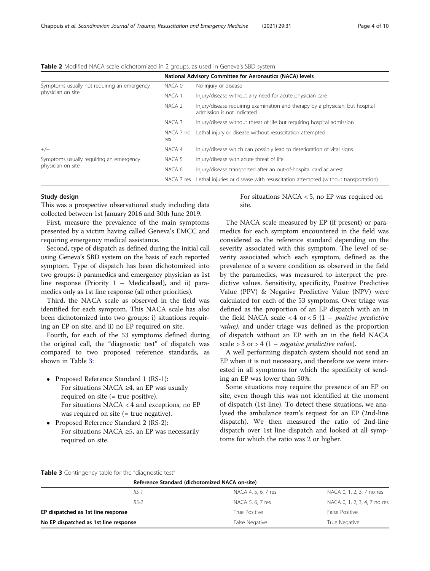|                                             | National Advisory Committee for Aeronautics (NACA) levels |                                                                                                             |  |
|---------------------------------------------|-----------------------------------------------------------|-------------------------------------------------------------------------------------------------------------|--|
| Symptoms usually not requiring an emergency | NACA 0                                                    | No injury or disease                                                                                        |  |
| physician on site                           | NACA 1                                                    | Injury/disease without any need for acute physician care                                                    |  |
|                                             | NACA 2                                                    | Injury/disease requiring examination and therapy by a physician, but hospital<br>admission is not indicated |  |
|                                             | NACA 3                                                    | Injury/disease without threat of life but requiring hospital admission                                      |  |
|                                             | NACA 7 no<br>res                                          | Lethal injury or disease without resuscitation attempted                                                    |  |
| $+/-$                                       | NACA 4                                                    | Injury/disease which can possibly lead to deterioration of vital signs                                      |  |
| Symptoms usually requiring an emergency     | NACA 5                                                    | Injury/disease with acute threat of life                                                                    |  |
| physician on site                           | NACA 6                                                    | Injury/disease transported after an out-of-hospital cardiac arrest                                          |  |
|                                             | NACA 7 res                                                | Lethal injuries or disease with resuscitation attempted (without transportation)                            |  |

<span id="page-3-0"></span>Table 2 Modified NACA scale dichotomized in 2 groups, as used in Geneva's SBD system

### Study design

This was a prospective observational study including data collected between 1st January 2016 and 30th June 2019.

First, measure the prevalence of the main symptoms presented by a victim having called Geneva's EMCC and requiring emergency medical assistance.

Second, type of dispatch as defined during the initial call using Geneva's SBD system on the basis of each reported symptom. Type of dispatch has been dichotomized into two groups: i) paramedics and emergency physician as 1st line response (Priority 1 – Medicalised), and ii) paramedics only as 1st line response (all other priorities).

Third, the NACA scale as observed in the field was identified for each symptom. This NACA scale has also been dichotomized into two groups: i) situations requiring an EP on site, and ii) no EP required on site.

Fourth, for each of the 53 symptoms defined during the original call, the "diagnostic test" of dispatch was compared to two proposed reference standards, as shown in Table 3:

- Proposed Reference Standard 1 (RS-1): For situations NACA ≥4, an EP was usually required on site (= true positive). For situations NACA < 4 and exceptions, no EP was required on site (= true negative).
- Proposed Reference Standard 2 (RS-2): For situations NACA  $\geq$ 5, an EP was necessarily required on site.

For situations NACA < 5, no EP was required on site.

The NACA scale measured by EP (if present) or paramedics for each symptom encountered in the field was considered as the reference standard depending on the severity associated with this symptom. The level of severity associated which each symptom, defined as the prevalence of a severe condition as observed in the field by the paramedics, was measured to interpret the predictive values. Sensitivity, specificity, Positive Predictive Value (PPV) & Negative Predictive Value (NPV) were calculated for each of the 53 symptoms. Over triage was defined as the proportion of an EP dispatch with an in the field NACA scale  $< 4$  or  $< 5$  (1 – *positive predictive* value), and under triage was defined as the proportion of dispatch without an EP with an in the field NACA scale  $> 3$  or  $> 4$  (1 – *negative predictive value*).

A well performing dispatch system should not send an EP when it is not necessary, and therefore we were interested in all symptoms for which the specificity of sending an EP was lower than 50%.

Some situations may require the presence of an EP on site, even though this was not identified at the moment of dispatch (1st-line). To detect these situations, we analysed the ambulance team's request for an EP (2nd-line dispatch). We then measured the ratio of 2nd-line dispatch over 1st line dispatch and looked at all symptoms for which the ratio was 2 or higher.

### Table 3 Contingency table for the "diagnostic test"

|                                       |        | Reference Standard (dichotomized NACA on-site) |                              |  |
|---------------------------------------|--------|------------------------------------------------|------------------------------|--|
|                                       | $RS-1$ | NACA 4, 5, 6, 7 res                            | NACA 0, 1, 2, 3, 7 no res    |  |
|                                       | $RS-2$ | NACA 5, 6, 7 res                               | NACA 0, 1, 2, 3, 4, 7 no res |  |
| EP dispatched as 1st line response    |        | True Positive                                  | False Positive               |  |
| No EP dispatched as 1st line response |        | False Negative                                 | True Negative                |  |
|                                       |        |                                                |                              |  |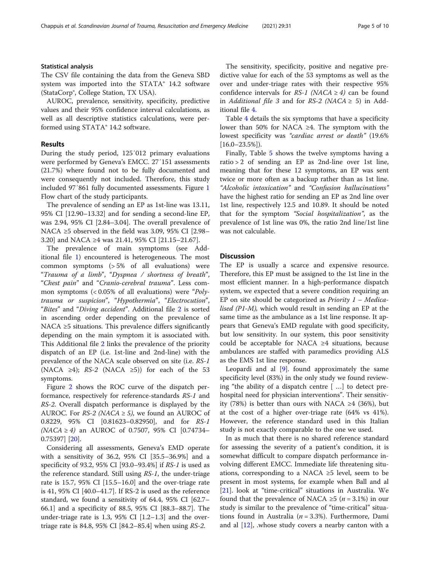# Statistical analysis

The CSV file containing the data from the Geneva SBD system was imported into the STATA® 14.2 software (StataCorp®, College Station, TX USA).

AUROC, prevalence, sensitivity, specificity, predictive values and their 95% confidence interval calculations, as well as all descriptive statistics calculations, were performed using STATA® 14.2 software.

# Results

During the study period, 125′012 primary evaluations were performed by Geneva's EMCC. 27′151 assessments (21.7%) where found not to be fully documented and were consequently not included. Therefore, this study included 97′861 fully documented assessments. Figure [1](#page-5-0) Flow chart of the study participants.

The prevalence of sending an EP as 1st-line was 13.11, 95% CI [12.90–13.32] and for sending a second-line EP, was 2.94, 95% CI [2.84–3.04]. The overall prevalence of NACA  $\geq$ 5 observed in the field was 3.09, 95% CI [2.98– 3.20] and NACA ≥4 was 21.41, 95% CI [21.15–21.67].

The prevalence of main symptoms (see Additional file [1](#page-8-0)) encountered is heterogeneous. The most common symptoms (> 5% of all evaluations) were "Trauma of a limb", "Dyspnea / shortness of breath", "Chest pain" and "Cranio-cerebral trauma". Less common symptoms  $\left($  < 0.05% of all evaluations) were "Polytrauma or suspicion", "Hypothermia", "Electrocution", "Bites" and "Diving accident". Additional file [2](#page-8-0) is sorted in ascending order depending on the prevalence of NACA ≥5 situations. This prevalence differs significantly depending on the main symptom it is associated with. This Additional file [2](#page-8-0) links the prevalence of the priority dispatch of an EP (i.e. 1st-line and 2nd-line) with the prevalence of the NACA scale observed on site (i.e. RS-1 (NACA ≥4);  $RS-2$  (NACA ≥5)) for each of the 53 symptoms.

Figure [2](#page-7-0) shows the ROC curve of the dispatch performance, respectively for reference-standards RS-1 and RS-2. Overall dispatch performance is displayed by the AUROC. For  $RS-2$  (NACA  $\geq$  5), we found an AUROC of 0.8229, 95% CI [0.81623–0.82950], and for RS-1  $(NACA \ge 4)$  an AUROC of 0.7507, 95% CI [0.74734– 0.75397] [[20](#page-8-0)].

Considering all assessments, Geneva's EMD operate with a sensitivity of 36.2, 95% CI [35.5–36.9%] and a specificity of 93.2, 95% CI [93.0–93.4%] if RS-1 is used as the reference standard. Still using RS-1, the under-triage rate is 15.7, 95% CI [15.5–16.0] and the over-triage rate is 41, 95% CI [40.0–41.7]. If RS-2 is used as the reference standard, we found a sensitivity of 64.4, 95% CI [62.7– 66.1] and a specificity of 88.5, 95% CI [88.3–88.7]. The under-triage rate is 1.3, 95% CI  $[1.2-1.3]$  and the overtriage rate is 84.8, 95% CI [84.2–85.4] when using RS-2.

The sensitivity, specificity, positive and negative predictive value for each of the 53 symptoms as well as the over and under-triage rates with their respective 95% confidence intervals for  $RS-1$  (NACA  $\geq 4$ ) can be found in Additional file 3 and for RS-2 (NACA  $\geq$  5) in Additional file [4.](#page-8-0)

Table [4](#page-6-0) details the six symptoms that have a specificity lower than 50% for NACA ≥4. The symptom with the lowest specificity was "cardiac arrest or death" (19.6%  $[16.0 - 23.5\%]$ .

Finally, Table [5](#page-6-0) shows the twelve symptoms having a ratio > 2 of sending an EP as 2nd-line over 1st line, meaning that for these 12 symptoms, an EP was sent twice or more often as a backup rather than as 1st line. "Alcoholic intoxication" and "Confusion hallucinations" have the highest ratio for sending an EP as 2nd line over 1st line, respectively 12.5 and 10.89. It should be noted that for the symptom "Social hospitalization", as the prevalence of 1st line was 0%, the ratio 2nd line/1st line was not calculable.

# **Discussion**

The EP is usually a scarce and expensive resource. Therefore, this EP must be assigned to the 1st line in the most efficient manner. In a high-performance dispatch system, we expected that a severe condition requiring an EP on site should be categorized as *Priority*  $1 - Medica$ lised (P1-M), which would result in sending an EP at the same time as the ambulance as a 1st line response. It appears that Geneva's EMD regulate with good specificity, but low sensitivity. In our system, this poor sensitivity could be acceptable for NACA ≥4 situations, because ambulances are staffed with paramedics providing ALS as the EMS 1st line response.

Leopardi and al [[9](#page-8-0)]. found approximately the same specificity level (83%) in the only study we found reviewing "the ability of a dispatch centre [ …] to detect prehospital need for physician interventions". Their sensitivity (78%) is better than ours with NACA ≥4 (36%), but at the cost of a higher over-triage rate (64% vs 41%). However, the reference standard used in this Italian study is not exactly comparable to the one we used.

In as much that there is no shared reference standard for assessing the severity of a patient's condition, it is somewhat difficult to compare dispatch performance involving different EMCC. Immediate life threatening situations, corresponding to a NACA  $\geq$ 5 level, seem to be present in most systems, for example when Ball and al [[21\]](#page-9-0). look at "time-critical" situations in Australia. We found that the prevalence of NACA ≥5 ( $n = 3.1\%$ ) in our study is similar to the prevalence of "time-critical" situations found in Australia ( $n = 3.3\%$ ). Furthermore, Dami and al  $[12]$ , whose study covers a nearby canton with a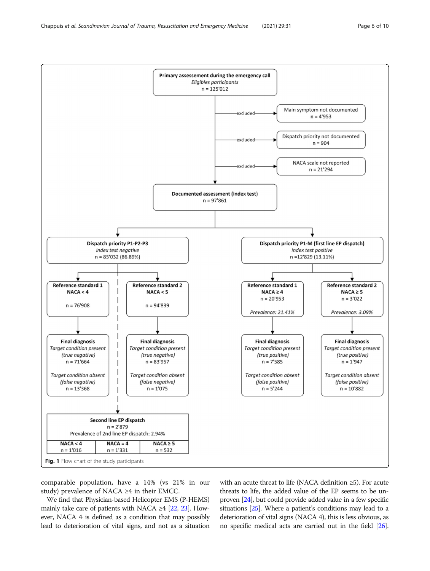<span id="page-5-0"></span>

comparable population, have a 14% (vs 21% in our study) prevalence of NACA ≥4 in their EMCC.

We find that Physician-based Helicopter EMS (P-HEMS) mainly take care of patients with NACA ≥4  $[22, 23]$  $[22, 23]$  $[22, 23]$ . However, NACA 4 is defined as a condition that may possibly lead to deterioration of vital signs, and not as a situation with an acute threat to life (NACA definition ≥5). For acute threats to life, the added value of the EP seems to be unproven [[24](#page-9-0)], but could provide added value in a few specific situations [\[25\]](#page-9-0). Where a patient's conditions may lead to a deterioration of vital signs (NACA 4), this is less obvious, as no specific medical acts are carried out in the field [\[26](#page-9-0)].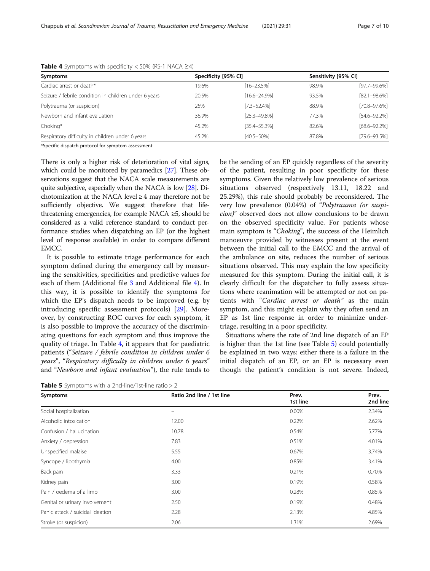| Symptoms                                              | Specificity [95% CI] |                   | Sensitivity [95% CI] |                   |
|-------------------------------------------------------|----------------------|-------------------|----------------------|-------------------|
| Cardiac arrest or death*                              | 19.6%                | $[16 - 23.5\%]$   | 98.9%                | $[97.7 - 99.6\%]$ |
| Seizure / febrile condition in children under 6 years | 20.5%                | $[16.6 - 24.9\%]$ | 93.5%                | $[82.1 - 98.6\%]$ |
| Polytrauma (or suspicion)                             | 25%                  | $[7.3 - 52.4%]$   | 88.9%                | $[70.8 - 97.6%]$  |
| Newborn and infant evaluation                         | 36.9%                | $[25.3 - 49.8\%]$ | 77.3%                | $[54.6 - 92.2\%]$ |
| Choking*                                              | 45.2%                | $[35.4 - 55.3%]$  | 82.6%                | $[68.6 - 92.2\%]$ |
| Respiratory difficulty in children under 6 years      | 45.2%                | $[40.5 - 50\%]$   | 87.8%                | [79.6-93.5%]      |

<span id="page-6-0"></span>

|  |  | Table 4 Symptoms with specificity $<$ 50% (RS-1 NACA $\geq$ 4) |  |  |  |
|--|--|----------------------------------------------------------------|--|--|--|
|--|--|----------------------------------------------------------------|--|--|--|

\*Specific dispatch protocol for symptom assessment

There is only a higher risk of deterioration of vital signs, which could be monitored by paramedics [[27](#page-9-0)]. These observations suggest that the NACA scale measurements are quite subjective, especially when the NACA is low [\[28\]](#page-9-0). Dichotomization at the NACA level ≥ 4 may therefore not be sufficiently objective. We suggest therefore that lifethreatening emergencies, for example NACA ≥5, should be considered as a valid reference standard to conduct performance studies when dispatching an EP (or the highest level of response available) in order to compare different EMCC.

It is possible to estimate triage performance for each symptom defined during the emergency call by measuring the sensitivities, specificities and predictive values for each of them (Additional file [3](#page-8-0) and Additional file [4](#page-8-0)). In this way, it is possible to identify the symptoms for which the EP's dispatch needs to be improved (e.g. by introducing specific assessment protocols) [\[29](#page-9-0)]. Moreover, by constructing ROC curves for each symptom, it is also possible to improve the accuracy of the discriminating questions for each symptom and thus improve the quality of triage. In Table 4, it appears that for paediatric patients ("Seizure / febrile condition in children under 6 years", "Respiratory difficulty in children under 6 years" and "Newborn and infant evaluation"), the rule tends to

**Table 5** Symptoms with a 2nd-line/1st-line ratio  $>$  2

be the sending of an EP quickly regardless of the severity of the patient, resulting in poor specificity for these symptoms. Given the relatively low prevalence of serious situations observed (respectively 13.11, 18.22 and 25.29%), this rule should probably be reconsidered. The very low prevalence (0.04%) of "Polytrauma (or suspicion)" observed does not allow conclusions to be drawn on the observed specificity value. For patients whose main symptom is "Choking", the success of the Heimlich manoeuvre provided by witnesses present at the event between the initial call to the EMCC and the arrival of the ambulance on site, reduces the number of serious situations observed. This may explain the low specificity measured for this symptom. During the initial call, it is clearly difficult for the dispatcher to fully assess situations where reanimation will be attempted or not on patients with "Cardiac arrest or death" as the main symptom, and this might explain why they often send an EP as 1st line response in order to minimize undertriage, resulting in a poor specificity.

Situations where the rate of 2nd line dispatch of an EP is higher than the 1st line (see Table 5) could potentially be explained in two ways: either there is a failure in the initial dispatch of an EP, or an EP is necessary even though the patient's condition is not severe. Indeed,

| Symptoms                         | Ratio 2nd line / 1st line | Prev.<br>1st line | Prev.<br>2nd line |
|----------------------------------|---------------------------|-------------------|-------------------|
| Social hospitalization           | -                         | 0.00%             | 2.34%             |
| Alcoholic intoxication           | 12.00                     | 0.22%             | 2.62%             |
| Confusion / hallucination        | 10.78                     | 0.54%             | 5.77%             |
| Anxiety / depression             | 7.83                      | 0.51%             | 4.01%             |
| Unspecified malaise              | 5.55                      | 0.67%             | 3.74%             |
| Syncope / lipothymia             | 4.00                      | 0.85%             | 3.41%             |
| Back pain                        | 3.33                      | 0.21%             | 0.70%             |
| Kidney pain                      | 3.00                      | 0.19%             | 0.58%             |
| Pain / oedema of a limb          | 3.00                      | 0.28%             | 0.85%             |
| Genital or urinary involvement   | 2.50                      | 0.19%             | 0.48%             |
| Panic attack / suicidal ideation | 2.28                      | 2.13%             | 4.85%             |
| Stroke (or suspicion)            | 2.06                      | 1.31%             | 2.69%             |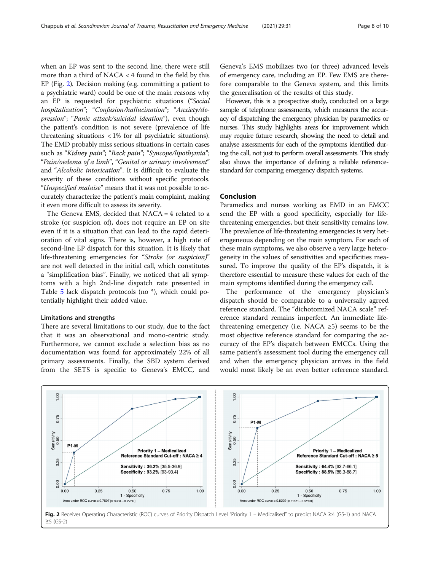<span id="page-7-0"></span>when an EP was sent to the second line, there were still more than a third of NACA < 4 found in the field by this EP (Fig. 2). Decision making (e.g. committing a patient to a psychiatric ward) could be one of the main reasons why an EP is requested for psychiatric situations ("Social hospitalization"; "Confusion/hallucination"; "Anxiety/depression"; "Panic attack/suicidal ideation"), even though the patient's condition is not severe (prevalence of life threatening situations < 1% for all psychiatric situations). The EMD probably miss serious situations in certain cases such as "Kidney pain"; "Back pain"; "Syncope/lipothymia"; "Pain/oedema of a limb", "Genital or urinary involvement" and "Alcoholic intoxication". It is difficult to evaluate the severity of these conditions without specific protocols. "Unspecified malaise" means that it was not possible to accurately characterize the patient's main complaint, making it even more difficult to assess its severity.

The Geneva EMS, decided that NACA = 4 related to a stroke (or suspicion of), does not require an EP on site even if it is a situation that can lead to the rapid deterioration of vital signs. There is, however, a high rate of second-line EP dispatch for this situation. It is likely that life-threatening emergencies for "Stroke (or suspicion)" are not well detected in the initial call, which constitutes a "simplification bias". Finally, we noticed that all symptoms with a high 2nd-line dispatch rate presented in Table [5](#page-6-0) lack dispatch protocols (no \*), which could potentially highlight their added value.

### Limitations and strengths

There are several limitations to our study, due to the fact that it was an observational and mono-centric study. Furthermore, we cannot exclude a selection bias as no documentation was found for approximately 22% of all primary assessments. Finally, the SBD system derived from the SETS is specific to Geneva's EMCC, and Geneva's EMS mobilizes two (or three) advanced levels of emergency care, including an EP. Few EMS are therefore comparable to the Geneva system, and this limits the generalisation of the results of this study.

However, this is a prospective study, conducted on a large sample of telephone assessments, which measures the accuracy of dispatching the emergency physician by paramedics or nurses. This study highlights areas for improvement which may require future research, showing the need to detail and analyse assessments for each of the symptoms identified during the call, not just to perform overall assessments. This study also shows the importance of defining a reliable referencestandard for comparing emergency dispatch systems.

# Conclusion

Paramedics and nurses working as EMD in an EMCC send the EP with a good specificity, especially for lifethreatening emergencies, but their sensitivity remains low. The prevalence of life-threatening emergencies is very heterogeneous depending on the main symptom. For each of these main symptoms, we also observe a very large heterogeneity in the values of sensitivities and specificities measured. To improve the quality of the EP's dispatch, it is therefore essential to measure these values for each of the main symptoms identified during the emergency call.

The performance of the emergency physician's dispatch should be comparable to a universally agreed reference standard. The "dichotomized NACA scale" reference standard remains imperfect. An immediate lifethreatening emergency (i.e. NACA  $\geq$ 5) seems to be the most objective reference standard for comparing the accuracy of the EP's dispatch between EMCCs. Using the same patient's assessment tool during the emergency call and when the emergency physician arrives in the field would most likely be an even better reference standard.



Fig. 2 Receiver Operating Characteristic (ROC) curves of Priority Dispatch Level "Priority 1 - Medicalised" to predict NACA ≥4 (GS-1) and NACA ≥5 (GS-2)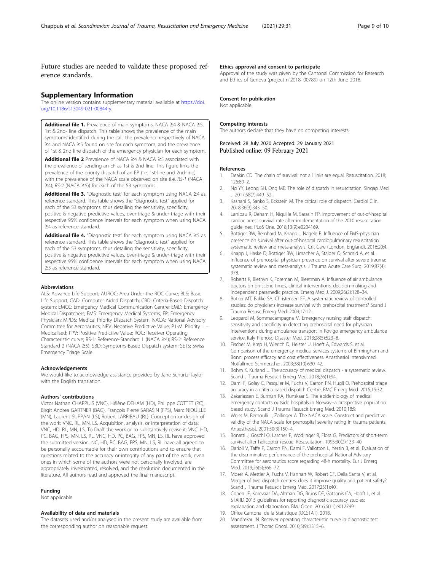<span id="page-8-0"></span>Future studies are needed to validate these proposed reference standards.

### Supplementary Information

The online version contains supplementary material available at [https://doi.](https://doi.org/10.1186/s13049-021-00844-y) [org/10.1186/s13049-021-00844-y](https://doi.org/10.1186/s13049-021-00844-y).

Additional file 1. Prevalence of main symptoms, NACA ≥4 & NACA ≥5, 1st & 2nd- line dispatch. This table shows the prevalence of the main symptoms identified during the call, the prevalence respectively of NACA ≥4 and NACA ≥5 found on site for each symptom, and the prevalence of 1st & 2nd line dispatch of the emergency physician for each symptom.

Additional file 2 Prevalence of NACA ≥4 & NACA ≥5 associated with the prevalence of sending an EP as 1st & 2nd line. This figure links the prevalence of the priority dispatch of an EP (i.e. 1st-line and 2nd-line) with the prevalence of the NACA scale observed on site (i.e. RS-1 (NACA ≥4); RS-2 (NACA ≥5)) for each of the 53 symptoms.

Additional file 3. "Diagnostic test" for each symptom using NACA ≥4 as reference standard. This table shows the "diagnostic test" applied for each of the 53 symptoms, thus detailing the sensitivity, specificity, positive & negative predictive values, over-triage & under-triage with their respective 95% confidence intervals for each symptom when using NACA ≥4 as reference standard.

Additional file 4. "Diagnostic test" for each symptom using NACA ≥5 as reference standard. This table shows the "diagnostic test" applied for each of the 53 symptoms, thus detailing the sensitivity, specificity, positive & negative predictive values, over-triage & under-triage with their respective 95% confidence intervals for each symptom when using NACA ≥5 as reference standard.

#### Abbreviations

ALS: Advance Life Support; AUROC: Area Under the ROC Curve; BLS: Basic Life Support; CAD: Computer Aided Dispatch; CBD: Criteria-Based Dispatch system; EMCC: Emergency Medical Communication Centre; EMD: Emergency Medical Dispatchers; EMS: Emergency Medical Systems; EP: Emergency Physician; MPDS: Medical Priority Dispatch System; NACA: National Advisory Committee for Aeronautics; NPV: Negative Predictive Value; P1-M: Priority 1 – Medicalised; PPV: Positive Predictive Value; ROC: Receiver Operating Characteristic curve; RS-1: Reference-Standard 1 (NACA ≥4); RS-2: Reference Standard 2 (NACA ≥5); SBD: Symptoms-Based Dispatch system; SETS: Swiss Emergency Triage Scale

#### Acknowledgements

We would like to acknowledge assistance provided by Jane Schurtz-Taylor with the English translation.

#### Authors' contributions

Victor Nathan CHAPPUIS (VNC), Hélène DEHAM (HD), Philippe COTTET (PC), Birgit Andrea GARTNER (BAG), François Pierre SARASIN (FPS), Marc NIQUILLE (MN), Laurent SUPPAN (LS), Robert LARRIBAU (RL). Conception or design of the work: VNC, RL, MN, LS. Acquisition, analysis, or interpretation of data: VNC, HD, RL, MN, LS. To Draft the work or to substantively revise it: VNC, HD, PC, BAG, FPS, MN, LS, RL. VNC, HD, PC, BAG, FPS, MN, LS, RL have approved the submitted version. NC, HD, PC, BAG, FPS, MN, LS, RL have all agreed to be personally accountable for their own contributions and to ensure that questions related to the accuracy or integrity of any part of the work, even ones in which some of the authors were not personally involved, are appropriately investigated, resolved, and the resolution documented in the literature. All authors read and approved the final manuscript.

#### Funding

Not applicable.

#### Availability of data and materials

The datasets used and/or analysed in the present study are available from the corresponding author on reasonable request.

# Ethics approval and consent to participate

Approval of the study was given by the Cantonal Commission for Research and Ethics of Geneva (project n°2018–00789) on 12th June 2018.

#### Consent for publication

Not applicable.

#### Competing interests

The authors declare that they have no competing interests.

Received: 28 July 2020 Accepted: 29 January 2021 Published online: 09 February 2021

### References

- 1. Deakin CD. The chain of survival: not all links are equal. Resuscitation. 2018; 126:80–2.
- 2. Ng YY, Leong SH, Ong ME. The role of dispatch in resuscitation. Singap Med J. 2017;58(7):449–52.
- 3. Kashani S, Sanko S, Eckstein M. The critical role of dispatch. Cardiol Clin. 2018;36(3):343–50.
- 4. Larribau R, Deham H, Niquille M, Sarasin FP. Improvement of out-of-hospital cardiac arrest survival rate after implementation of the 2010 resuscitation guidelines. PLoS One. 2018;13(9):e0204169.
- 5. Bottiger BW, Bernhard M, Knapp J, Nagele P. Influence of EMS-physician presence on survival after out-of-hospital cardiopulmonary resuscitation: systematic review and meta-analysis. Crit Care (London, England). 2016;20:4.
- 6. Knapp J, Haske D, Bottiger BW, Limacher A, Stalder O, Schmid A, et al. Influence of prehospital physician presence on survival after severe trauma: systematic review and meta-analysis. J Trauma Acute Care Surg. 2019;87(4): 978.
- 7. Roberts K, Blethyn K, Foreman M, Bleetman A. Influence of air ambulance doctors on on-scene times, clinical interventions, decision-making and independent paramedic practice. Emerg Med J. 2009;26(2):128–34.
- 8. Botker MT, Bakke SA, Christensen EF. A systematic review of controlled studies: do physicians increase survival with prehospital treatment? Scand J Trauma Resusc Emerg Med. 2009;17:12.
- 9. Leopardi M, Sommacampagna M. Emergency nursing staff dispatch: sensitivity and specificity in detecting prehospital need for physician interventions during ambulance transport in Rovigo emergency ambulance service. Italy Prehosp Disaster Med. 2013;28(5):523–8.
- 10. Fischer M, Krep H, Wierich D, Heister U, Hoeft A, Edwards S, et al. Comparison of the emergency medical services systems of Birmingham and Bonn: process efficacy and cost effectiveness. Anasthesiol Intensivmed Notfallmed Schmerzther. 2003;38(10):630–42.
- 11. Bohm K, Kurland L. The accuracy of medical dispatch a systematic review. Scand J Trauma Resuscit Emerg Med. 2018;26(1):94.
- 12. Dami F, Golay C, Pasquier M, Fuchs V, Carron PN, Hugli O. Prehospital triage accuracy in a criteria based dispatch Centre. BMC Emerg Med. 2015;15:32.
- 13. Zakariassen E, Burman RA, Hunskaar S. The epidemiology of medical emergency contacts outside hospitals in Norway--a prospective population based study. Scand J Trauma Resuscit Emerg Med. 2010;18:9.
- 14. Weiss M, Bernoulli L, Zollinger A. The NACA scale. Construct and predictive validity of the NACA scale for prehospital severity rating in trauma patients. Anaesthesist. 2001;50(3):150–4.
- 15. Bonatti J, Goschl O, Larcher P, Wodlinger R, Flora G. Predictors of short-term survival after helicopter rescue. Resuscitation. 1995;30(2):133–40.
- 16. Darioli V, Taffe P, Carron PN, Dami F, Vallotton L, Yersin B, et al. Evaluation of the discriminative performance of the prehospital National Advisory Committee for aeronautics score regarding 48-h mortality. Eur J Emerg Med. 2019;26(5):366–72.
- 17. Moser A, Mettler A, Fuchs V, Hanhart W, Robert CF, Della Santa V, et al. Merger of two dispatch centres: does it improve quality and patient safety? Scand J Trauma Resuscit Emerg Med. 2017;25(1):40.
- 18. Cohen JF, Korevaar DA, Altman DG, Bruns DE, Gatsonis CA, Hooft L, et al. STARD 2015 guidelines for reporting diagnostic accuracy studies: explanation and elaboration. BMJ Open. 2016;6(11):e012799.
- 19. Office Cantonal de la Statistique (OCSTAT). 2018.
- 20. Mandrekar JN. Receiver operating characteristic curve in diagnostic test assessment. J Thorac Oncol. 2010;5(9):1315–6.